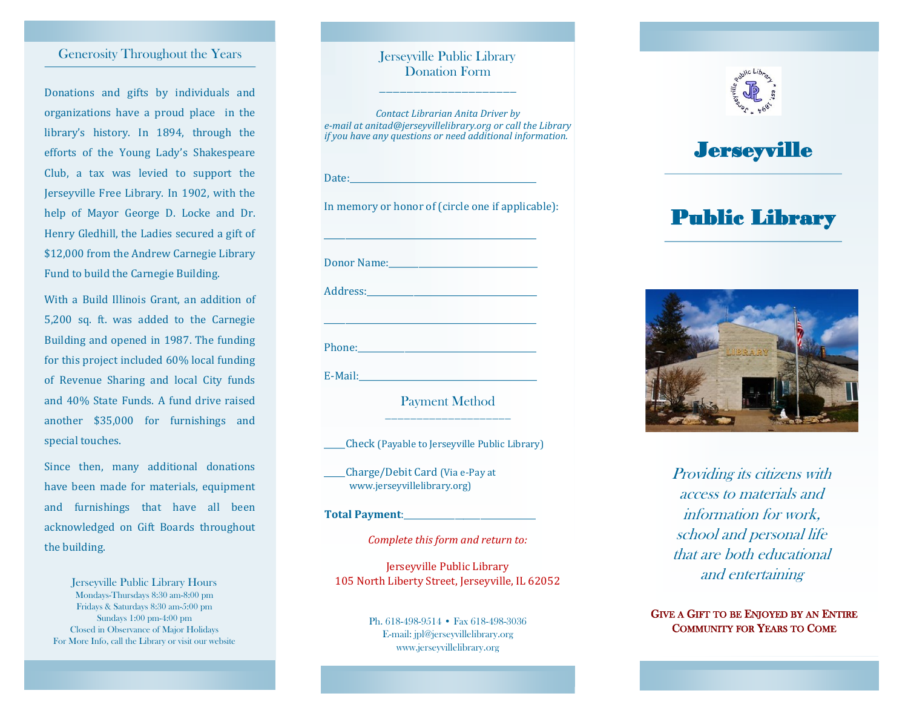### Generosity Throughout the Years

Donations and gifts by individuals and organizations have a proud place in the library's history. In 1894, through the efforts of the Young Lady's Shakespeare Club, a tax was levied to support the Jerseyville Free Library. In 1902, with the help of Mayor George D. Locke and Dr. Henry Gledhill, the Ladies secured a gift of \$12,000 from the Andrew Carnegie Library Fund to build the Carnegie Building.

With a Build Illinois Grant, an addition of 5,200 sq. ft. was added to the Carnegie Building and opened in 1987. The funding for this project included 60% local funding of Revenue Sharing and local City funds and 40% State Funds. A fund drive raised another \$35,000 for furnishings and special touches.

Since then, many additional donations have been made for materials, equipment and furnishings that have all been acknowledged on Gift Boards throughout the building.

Jerseyville Public Library Hours Mondays-Thursdays 8:30 am-8:00 pm Fridays & Saturdays 8:30 am-5:00 pm Sundays 1:00 pm-4:00 pm Closed in Observance of Major Holidays For More Info, call the Library or visit our website

#### Jerseyville Public Library Donation Form \_\_\_\_\_\_\_\_\_\_\_\_\_\_\_\_\_\_\_\_

*Contact Librarian Anita Driver by e-mail at anitad@jerseyvillelibrary.org or call the Library if you have any questions or need additional information.* Date: In memory or honor of (circle one if applicable): \_\_\_\_\_\_\_\_\_\_\_\_\_\_\_\_\_\_\_\_\_\_\_\_\_\_\_\_\_\_\_\_\_\_\_\_\_\_\_\_\_\_\_\_\_\_\_\_\_\_ Donor Name: Address: \_\_\_\_\_\_\_\_\_\_\_\_\_\_\_\_\_\_\_\_\_\_\_\_\_\_\_\_\_\_\_\_\_\_\_\_\_\_\_\_\_\_\_\_\_\_\_\_\_\_ Phone:\_\_\_\_\_\_\_\_\_\_\_\_\_\_\_\_\_\_\_\_\_\_\_\_\_\_\_\_\_\_\_\_\_\_\_\_\_\_\_\_\_\_  $E-Mail:$ Payment Method \_\_\_\_\_\_\_\_\_\_\_\_\_\_\_\_\_\_\_\_

\_\_\_\_\_Check (Payable to Jerseyville Public Library)

\_\_\_\_\_Charge/Debit Card (Via e-Pay at www.jerseyvillelibrary.org)

#### **Total Payment:**

*Complete this form and return to:*

Jerseyville Public Library 105 North Liberty Street, Jerseyville, IL 62052

> Ph. 618-498-9514 • Fax 618-498-3036 E-mail: jpl@jerseyvillelibrary.org www.jerseyvillelibrary.org



# **Jerseyville**

# Public Library



Providing its citizens with access to materials and information for work, school and personal life that are both educational and entertaining

GIVE A GIFT TO BE ENJOYED BY AN ENTIRE COMMUNITY FOR YEARS TO COME